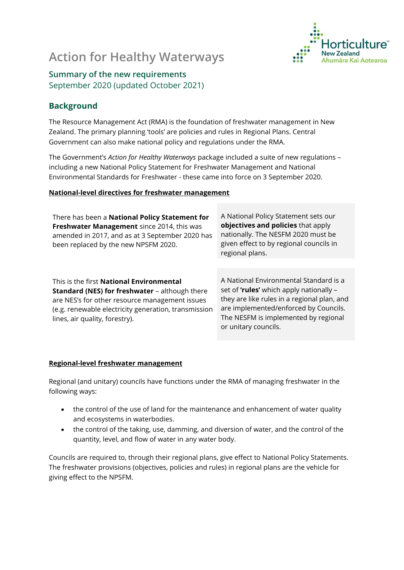# **Action for Healthy Waterways**



## **Summary of the new requirements**  September 2020 (updated October 2021)

### **Background**

The Resource Management Act (RMA) is the foundation of freshwater management in New Zealand. The primary planning 'tools' are policies and rules in Regional Plans. Central Government can also make national policy and regulations under the RMA.

The Government's *Action for Healthy Waterways* package included a suite of new regulations – including a new National Policy Statement for Freshwater Management and National Environmental Standards for Freshwater - these came into force on 3 September 2020.

#### **National-level directives for freshwater management**

| There has been a National Policy Statement for<br>Freshwater Management since 2014, this was<br>amended in 2017, and as at 3 September 2020 has<br>been replaced by the new NPSFM 2020.                                                              | A National Policy Statement sets our<br>objectives and policies that apply<br>nationally. The NESFM 2020 must be<br>given effect to by regional councils in<br>regional plans.                                                            |  |
|------------------------------------------------------------------------------------------------------------------------------------------------------------------------------------------------------------------------------------------------------|-------------------------------------------------------------------------------------------------------------------------------------------------------------------------------------------------------------------------------------------|--|
|                                                                                                                                                                                                                                                      |                                                                                                                                                                                                                                           |  |
| This is the first <b>National Environmental</b><br><b>Standard (NES) for freshwater - although there</b><br>are NES's for other resource management issues<br>(e.g. renewable electricity generation, transmission<br>lines, air quality, forestry). | A National Environmental Standard is a<br>set of 'rules' which apply nationally -<br>they are like rules in a regional plan, and<br>are implemented/enforced by Councils.<br>The NESFM is implemented by regional<br>or unitary councils. |  |

#### **Regional-level freshwater management**

Regional (and unitary) councils have functions under the RMA of managing freshwater in the following ways:

- the control of the use of land for the maintenance and enhancement of water quality and ecosystems in waterbodies.
- the control of the taking, use, damming, and diversion of water, and the control of the quantity, level, and flow of water in any water body.

Councils are required to, through their regional plans, give effect to National Policy Statements. The freshwater provisions (objectives, policies and rules) in regional plans are the vehicle for giving effect to the NPSFM.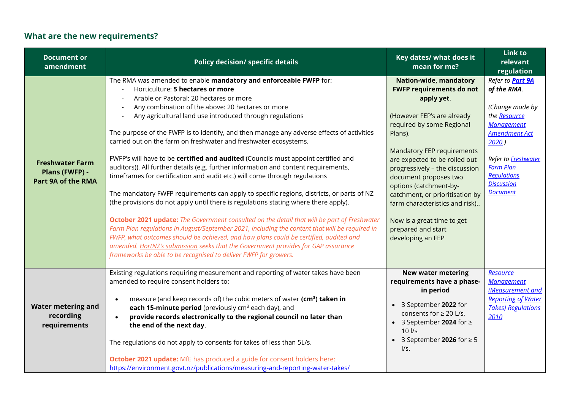# **What are the new requirements?**

| <b>Document or</b><br>amendment                                       | <b>Policy decision/ specific details</b>                                                                                                                                                                                                                                                                                                                                                                                                                                                                                                                                                                                                                                                                                                                                                                                                                                                                                                                                                                                                                                                                                                                                                                                                                                                                                           | Key dates/ what does it<br>mean for me?                                                                                                                                                                                                                                                                                                                                                                                                                | Link to<br>relevant<br>regulation                                                                                                                                                                                                        |
|-----------------------------------------------------------------------|------------------------------------------------------------------------------------------------------------------------------------------------------------------------------------------------------------------------------------------------------------------------------------------------------------------------------------------------------------------------------------------------------------------------------------------------------------------------------------------------------------------------------------------------------------------------------------------------------------------------------------------------------------------------------------------------------------------------------------------------------------------------------------------------------------------------------------------------------------------------------------------------------------------------------------------------------------------------------------------------------------------------------------------------------------------------------------------------------------------------------------------------------------------------------------------------------------------------------------------------------------------------------------------------------------------------------------|--------------------------------------------------------------------------------------------------------------------------------------------------------------------------------------------------------------------------------------------------------------------------------------------------------------------------------------------------------------------------------------------------------------------------------------------------------|------------------------------------------------------------------------------------------------------------------------------------------------------------------------------------------------------------------------------------------|
| <b>Freshwater Farm</b><br>Plans (FWFP) -<br><b>Part 9A of the RMA</b> | The RMA was amended to enable mandatory and enforceable FWFP for:<br>Horticulture: 5 hectares or more<br>Arable or Pastoral: 20 hectares or more<br>Any combination of the above: 20 hectares or more<br>Any agricultural land use introduced through regulations<br>The purpose of the FWFP is to identify, and then manage any adverse effects of activities<br>carried out on the farm on freshwater and freshwater ecosystems.<br>FWFP's will have to be certified and audited (Councils must appoint certified and<br>auditors)). All further details (e.g. further information and content requirements,<br>timeframes for certification and audit etc.) will come through regulations<br>The mandatory FWFP requirements can apply to specific regions, districts, or parts of NZ<br>(the provisions do not apply until there is regulations stating where there apply).<br>October 2021 update: The Government consulted on the detail that will be part of Freshwater<br>Farm Plan regulations in August/September 2021, including the content that will be required in<br>FWFP, what outcomes should be achieved, and how plans could be certified, audited and<br>amended. HortNZ's submission seeks that the Government provides for GAP assurance<br>frameworks be able to be recognised to deliver FWFP for growers. | <b>Nation-wide, mandatory</b><br><b>FWFP requirements do not</b><br>apply yet.<br>(However FEP's are already<br>required by some Regional<br>Plans).<br>Mandatory FEP requirements<br>are expected to be rolled out<br>progressively - the discussion<br>document proposes two<br>options (catchment-by-<br>catchment, or prioritisation by<br>farm characteristics and risk)<br>Now is a great time to get<br>prepared and start<br>developing an FEP | Refer to <b>Part 9A</b><br>of the RMA.<br>(Change made by<br>the Resource<br><b>Management</b><br><b>Amendment Act</b><br>2020)<br>Refer to Freshwater<br><b>Farm Plan</b><br><b>Regulations</b><br><b>Discussion</b><br><b>Document</b> |
| <b>Water metering and</b><br>recording<br>requirements                | Existing regulations requiring measurement and reporting of water takes have been<br>amended to require consent holders to:<br>measure (and keep records of) the cubic meters of water (cm <sup>3</sup> ) taken in<br>each 15-minute period (previously cm <sup>3</sup> each day), and<br>provide records electronically to the regional council no later than<br>the end of the next day.<br>The regulations do not apply to consents for takes of less than 5L/s.<br><b>October 2021 update:</b> MfE has produced a guide for consent holders here:<br>https://environment.govt.nz/publications/measuring-and-reporting-water-takes/                                                                                                                                                                                                                                                                                                                                                                                                                                                                                                                                                                                                                                                                                             | <b>New water metering</b><br>requirements have a phase-<br>in period<br>• 3 September 2022 for<br>consents for $\geq 20$ L/s,<br>• 3 September 2024 for $\ge$<br>$10$ $\text{Vs}$<br>• 3 September 2026 for $\geq 5$<br>I/s.                                                                                                                                                                                                                           | Resource<br><b>Management</b><br>(Measurement and<br><b>Reporting of Water</b><br><b>Takes) Regulations</b><br>2010                                                                                                                      |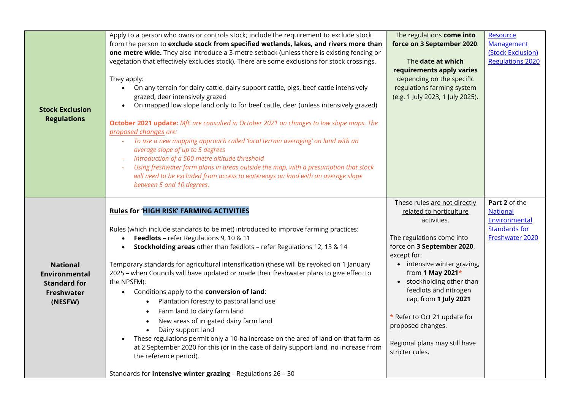| <b>Stock Exclusion</b><br><b>Regulations</b>                                                   | Apply to a person who owns or controls stock; include the requirement to exclude stock<br>from the person to exclude stock from specified wetlands, lakes, and rivers more than<br>one metre wide. They also introduce a 3-metre setback (unless there is existing fencing or<br>vegetation that effectively excludes stock). There are some exclusions for stock crossings.<br>They apply:<br>On any terrain for dairy cattle, dairy support cattle, pigs, beef cattle intensively<br>grazed, deer intensively grazed<br>On mapped low slope land only to for beef cattle, deer (unless intensively grazed)<br>October 2021 update: MfE are consulted in October 2021 on changes to low slope maps. The<br>proposed changes are:<br>To use a new mapping approach called 'local terrain averaging' on land with an<br>$\omega$ .<br>average slope of up to 5 degrees<br>Introduction of a 500 metre altitude threshold<br>Using freshwater farm plans in areas outside the map, with a presumption that stock<br>will need to be excluded from access to waterways on land with an average slope<br>between 5 and 10 degrees. | The regulations come into<br>force on 3 September 2020.<br>The <b>date at which</b><br>requirements apply varies<br>depending on the specific<br>regulations farming system<br>(e.g. 1 July 2023, 1 July 2025).                                                                                                                                                                             | Resource<br>Management<br>(Stock Exclusion)<br><b>Regulations 2020</b>                       |
|------------------------------------------------------------------------------------------------|--------------------------------------------------------------------------------------------------------------------------------------------------------------------------------------------------------------------------------------------------------------------------------------------------------------------------------------------------------------------------------------------------------------------------------------------------------------------------------------------------------------------------------------------------------------------------------------------------------------------------------------------------------------------------------------------------------------------------------------------------------------------------------------------------------------------------------------------------------------------------------------------------------------------------------------------------------------------------------------------------------------------------------------------------------------------------------------------------------------------------------|---------------------------------------------------------------------------------------------------------------------------------------------------------------------------------------------------------------------------------------------------------------------------------------------------------------------------------------------------------------------------------------------|----------------------------------------------------------------------------------------------|
| <b>National</b><br><b>Environmental</b><br><b>Standard for</b><br><b>Freshwater</b><br>(NESFW) | <b>Rules for 'HIGH RISK' FARMING ACTIVITIES</b><br>Rules (which include standards to be met) introduced to improve farming practices:<br>Feedlots - refer Regulations 9, 10 & 11<br>Stockholding areas other than feedlots - refer Regulations 12, 13 & 14<br>Temporary standards for agricultural intensification (these will be revoked on 1 January<br>2025 - when Councils will have updated or made their freshwater plans to give effect to<br>the NPSFM):<br>Conditions apply to the conversion of land:<br>$\bullet$<br>Plantation forestry to pastoral land use<br>$\bullet$<br>Farm land to dairy farm land<br>$\bullet$<br>New areas of irrigated dairy farm land<br>$\bullet$<br>Dairy support land<br>$\bullet$<br>These regulations permit only a 10-ha increase on the area of land on that farm as<br>at 2 September 2020 for this (or in the case of dairy support land, no increase from<br>the reference period).<br>Standards for <b>Intensive winter grazing</b> - Regulations 26 - 30                                                                                                                    | These rules are not directly<br>related to horticulture<br>activities.<br>The regulations come into<br>force on 3 September 2020,<br>except for:<br>• intensive winter grazing,<br>from 1 May 2021*<br>• stockholding other than<br>feedlots and nitrogen<br>cap, from 1 July 2021<br>* Refer to Oct 21 update for<br>proposed changes.<br>Regional plans may still have<br>stricter rules. | Part 2 of the<br><b>National</b><br>Environmental<br><b>Standards for</b><br>Freshwater 2020 |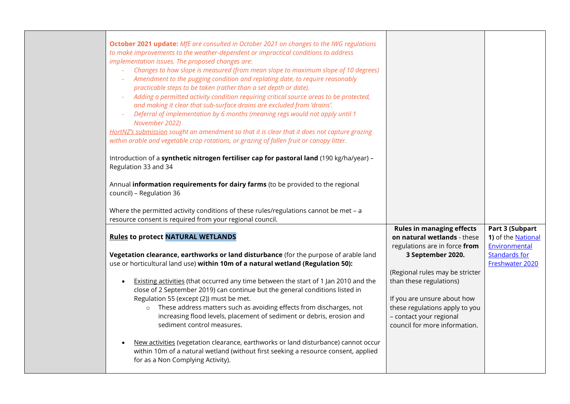| October 2021 update: MfE are consulted in October 2021 on changes to the IWG regulations<br>to make improvements to the weather-dependent or impractical conditions to address<br>implementation issues. The proposed changes are:<br>Changes to how slope is measured (from mean slope to maximum slope of 10 degrees)<br>Amendment to the pugging condition and replating date, to require reasonably<br>practicable steps to be taken (rather than a set depth or date).<br>Adding a permitted activity condition requiring critical source areas to be protected,<br>$\omega$<br>and making it clear that sub-surface drains are excluded from 'drains'.<br>Deferral of implementation by 6 months (meaning regs would not apply until 1<br>November 2022)<br>HortNZ's submission sought an amendment so that it is clear that it does not capture grazing<br>within arable and vegetable crop rotations, or grazing of fallen fruit or canopy litter. |                                                                                                                                                                                         |                                                               |
|------------------------------------------------------------------------------------------------------------------------------------------------------------------------------------------------------------------------------------------------------------------------------------------------------------------------------------------------------------------------------------------------------------------------------------------------------------------------------------------------------------------------------------------------------------------------------------------------------------------------------------------------------------------------------------------------------------------------------------------------------------------------------------------------------------------------------------------------------------------------------------------------------------------------------------------------------------|-----------------------------------------------------------------------------------------------------------------------------------------------------------------------------------------|---------------------------------------------------------------|
| Introduction of a synthetic nitrogen fertiliser cap for pastoral land (190 kg/ha/year) -<br>Regulation 33 and 34                                                                                                                                                                                                                                                                                                                                                                                                                                                                                                                                                                                                                                                                                                                                                                                                                                           |                                                                                                                                                                                         |                                                               |
| Annual information requirements for dairy farms (to be provided to the regional<br>council) - Regulation 36                                                                                                                                                                                                                                                                                                                                                                                                                                                                                                                                                                                                                                                                                                                                                                                                                                                |                                                                                                                                                                                         |                                                               |
| Where the permitted activity conditions of these rules/regulations cannot be met - a<br>resource consent is required from your regional council.                                                                                                                                                                                                                                                                                                                                                                                                                                                                                                                                                                                                                                                                                                                                                                                                           |                                                                                                                                                                                         |                                                               |
| <b>Rules to protect NATURAL WETLANDS</b>                                                                                                                                                                                                                                                                                                                                                                                                                                                                                                                                                                                                                                                                                                                                                                                                                                                                                                                   | <b>Rules in managing effects</b><br>on natural wetlands - these<br>regulations are in force from                                                                                        | Part 3 (Subpart<br>1) of the <b>National</b><br>Environmental |
| Vegetation clearance, earthworks or land disturbance (for the purpose of arable land<br>use or horticultural land use) within 10m of a natural wetland (Regulation 50):                                                                                                                                                                                                                                                                                                                                                                                                                                                                                                                                                                                                                                                                                                                                                                                    | 3 September 2020.                                                                                                                                                                       | <b>Standards for</b><br>Freshwater 2020                       |
| Existing activities (that occurred any time between the start of 1 Jan 2010 and the<br>$\bullet$<br>close of 2 September 2019) can continue but the general conditions listed in<br>Regulation 55 (except (2)) must be met.<br>These address matters such as avoiding effects from discharges, not<br>$\circ$<br>increasing flood levels, placement of sediment or debris, erosion and<br>sediment control measures.                                                                                                                                                                                                                                                                                                                                                                                                                                                                                                                                       | (Regional rules may be stricter<br>than these regulations)<br>If you are unsure about how<br>these regulations apply to you<br>- contact your regional<br>council for more information. |                                                               |
| New activities (vegetation clearance, earthworks or land disturbance) cannot occur<br>within 10m of a natural wetland (without first seeking a resource consent, applied<br>for as a Non Complying Activity).                                                                                                                                                                                                                                                                                                                                                                                                                                                                                                                                                                                                                                                                                                                                              |                                                                                                                                                                                         |                                                               |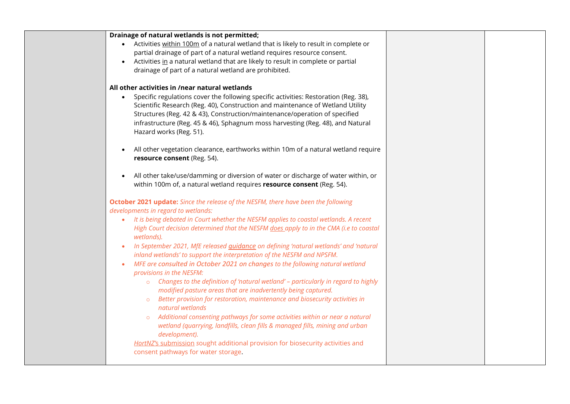| Drainage of natural wetlands is not permitted;                                               |  |
|----------------------------------------------------------------------------------------------|--|
| • Activities within 100m of a natural wetland that is likely to result in complete or        |  |
| partial drainage of part of a natural wetland requires resource consent.                     |  |
| Activities in a natural wetland that are likely to result in complete or partial             |  |
| drainage of part of a natural wetland are prohibited.                                        |  |
|                                                                                              |  |
| All other activities in /near natural wetlands                                               |  |
| Specific regulations cover the following specific activities: Restoration (Reg. 38),         |  |
| Scientific Research (Reg. 40), Construction and maintenance of Wetland Utility               |  |
| Structures (Reg. 42 & 43), Construction/maintenance/operation of specified                   |  |
| infrastructure (Reg. 45 & 46), Sphagnum moss harvesting (Reg. 48), and Natural               |  |
| Hazard works (Reg. 51).                                                                      |  |
|                                                                                              |  |
| All other vegetation clearance, earthworks within 10m of a natural wetland require           |  |
| resource consent (Reg. 54).                                                                  |  |
|                                                                                              |  |
| All other take/use/damming or diversion of water or discharge of water within, or            |  |
| within 100m of, a natural wetland requires resource consent (Reg. 54).                       |  |
| October 2021 update: Since the release of the NESFM, there have been the following           |  |
| developments in regard to wetlands:                                                          |  |
| It is being debated in Court whether the NESFM applies to coastal wetlands. A recent         |  |
| High Court decision determined that the NESFM does apply to in the CMA (i.e to coastal       |  |
| wetlands).                                                                                   |  |
|                                                                                              |  |
| In September 2021, MfE released guidance on defining 'natural wetlands' and 'natural         |  |
| inland wetlands' to support the interpretation of the NESFM and NPSFM.                       |  |
| MFE are consulted in October 2021 on changes to the following natural wetland<br>$\bullet$   |  |
| provisions in the NESFM:                                                                     |  |
| Changes to the definition of 'natural wetland' - particularly in regard to highly<br>$\circ$ |  |
| modified pasture areas that are inadvertently being captured.                                |  |
| Better provision for restoration, maintenance and biosecurity activities in                  |  |
| natural wetlands                                                                             |  |
| Additional consenting pathways for some activities within or near a natural                  |  |
| wetland (quarrying, landfills, clean fills & managed fills, mining and urban                 |  |
| development).                                                                                |  |
| HortNZ's submission sought additional provision for biosecurity activities and               |  |
| consent pathways for water storage.                                                          |  |
|                                                                                              |  |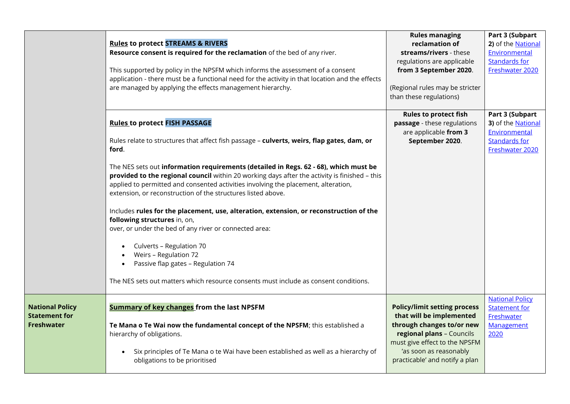|                                                                     | <b>Rules to protect STREAMS &amp; RIVERS</b><br>Resource consent is required for the reclamation of the bed of any river.<br>This supported by policy in the NPSFM which informs the assessment of a consent<br>application - there must be a functional need for the activity in that location and the effects<br>are managed by applying the effects management hierarchy. | <b>Rules managing</b><br>reclamation of<br>streams/rivers - these<br>regulations are applicable<br>from 3 September 2020.<br>(Regional rules may be stricter<br>than these regulations)                                | Part 3 (Subpart<br>2) of the National<br>Environmental<br><b>Standards for</b><br>Freshwater 2020        |
|---------------------------------------------------------------------|------------------------------------------------------------------------------------------------------------------------------------------------------------------------------------------------------------------------------------------------------------------------------------------------------------------------------------------------------------------------------|------------------------------------------------------------------------------------------------------------------------------------------------------------------------------------------------------------------------|----------------------------------------------------------------------------------------------------------|
|                                                                     | <b>Rules to protect FISH PASSAGE</b><br>Rules relate to structures that affect fish passage - culverts, weirs, flap gates, dam, or<br>ford.                                                                                                                                                                                                                                  | <b>Rules to protect fish</b><br>passage - these regulations<br>are applicable from 3<br>September 2020.                                                                                                                | Part 3 (Subpart<br>3) of the <b>National</b><br>Environmental<br><b>Standards for</b><br>Freshwater 2020 |
|                                                                     | The NES sets out information requirements (detailed in Regs. 62 - 68), which must be<br>provided to the regional council within 20 working days after the activity is finished - this<br>applied to permitted and consented activities involving the placement, alteration,<br>extension, or reconstruction of the structures listed above.                                  |                                                                                                                                                                                                                        |                                                                                                          |
|                                                                     | Includes rules for the placement, use, alteration, extension, or reconstruction of the<br>following structures in, on,<br>over, or under the bed of any river or connected area:<br>Culverts - Regulation 70                                                                                                                                                                 |                                                                                                                                                                                                                        |                                                                                                          |
|                                                                     | Weirs - Regulation 72<br>Passive flap gates - Regulation 74<br>The NES sets out matters which resource consents must include as consent conditions.                                                                                                                                                                                                                          |                                                                                                                                                                                                                        |                                                                                                          |
| <b>National Policy</b><br><b>Statement for</b><br><b>Freshwater</b> | <b>Summary of key changes</b> from the last NPSFM<br>Te Mana o Te Wai now the fundamental concept of the NPSFM; this established a<br>hierarchy of obligations.<br>Six principles of Te Mana o te Wai have been established as well as a hierarchy of<br>obligations to be prioritised                                                                                       | <b>Policy/limit setting process</b><br>that will be implemented<br>through changes to/or new<br>regional plans - Councils<br>must give effect to the NPSFM<br>'as soon as reasonably<br>practicable' and notify a plan | <b>National Policy</b><br><b>Statement for</b><br>Freshwater<br>Management<br>2020                       |
|                                                                     |                                                                                                                                                                                                                                                                                                                                                                              |                                                                                                                                                                                                                        |                                                                                                          |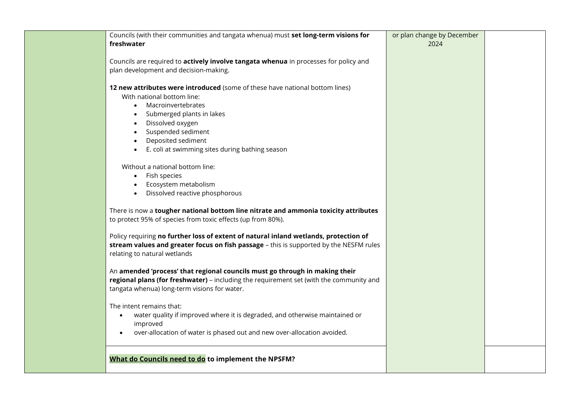| Councils (with their communities and tangata whenua) must set long-term visions for                                                                                                                                                                                                                                                                                                                                     | or plan change by December |  |
|-------------------------------------------------------------------------------------------------------------------------------------------------------------------------------------------------------------------------------------------------------------------------------------------------------------------------------------------------------------------------------------------------------------------------|----------------------------|--|
| freshwater                                                                                                                                                                                                                                                                                                                                                                                                              | 2024                       |  |
| Councils are required to actively involve tangata whenua in processes for policy and<br>plan development and decision-making.                                                                                                                                                                                                                                                                                           |                            |  |
| 12 new attributes were introduced (some of these have national bottom lines)<br>With national bottom line:<br>Macroinvertebrates<br>$\bullet$<br>Submerged plants in lakes<br>Dissolved oxygen<br>Suspended sediment<br>Deposited sediment<br>E. coli at swimming sites during bathing season<br>Without a national bottom line:<br>Fish species<br>$\bullet$<br>Ecosystem metabolism<br>Dissolved reactive phosphorous |                            |  |
| There is now a tougher national bottom line nitrate and ammonia toxicity attributes                                                                                                                                                                                                                                                                                                                                     |                            |  |
| to protect 95% of species from toxic effects (up from 80%).<br>Policy requiring no further loss of extent of natural inland wetlands, protection of<br>stream values and greater focus on fish passage - this is supported by the NESFM rules<br>relating to natural wetlands                                                                                                                                           |                            |  |
| An amended 'process' that regional councils must go through in making their<br>regional plans (for freshwater) - including the requirement set (with the community and<br>tangata whenua) long-term visions for water.                                                                                                                                                                                                  |                            |  |
| The intent remains that:<br>water quality if improved where it is degraded, and otherwise maintained or<br>$\bullet$<br>improved<br>over-allocation of water is phased out and new over-allocation avoided.                                                                                                                                                                                                             |                            |  |
| What do Councils need to do to implement the NPSFM?                                                                                                                                                                                                                                                                                                                                                                     |                            |  |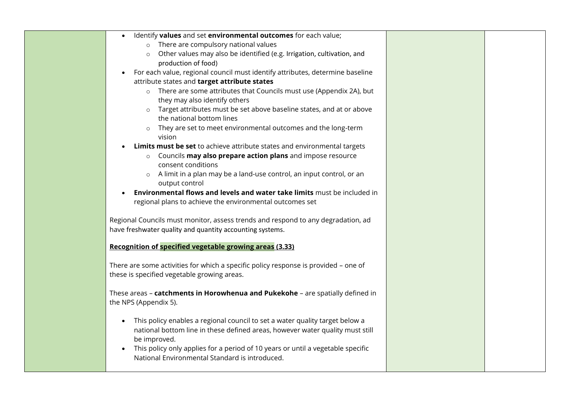| Identify values and set environmental outcomes for each value;                             |  |
|--------------------------------------------------------------------------------------------|--|
| o There are compulsory national values                                                     |  |
| Other values may also be identified (e.g. Irrigation, cultivation, and<br>$\circ$          |  |
| production of food)                                                                        |  |
| For each value, regional council must identify attributes, determine baseline<br>$\bullet$ |  |
| attribute states and target attribute states                                               |  |
| o There are some attributes that Councils must use (Appendix 2A), but                      |  |
| they may also identify others                                                              |  |
| o Target attributes must be set above baseline states, and at or above                     |  |
| the national bottom lines                                                                  |  |
| o They are set to meet environmental outcomes and the long-term                            |  |
| vision                                                                                     |  |
| Limits must be set to achieve attribute states and environmental targets                   |  |
| o Councils may also prepare action plans and impose resource                               |  |
| consent conditions                                                                         |  |
| A limit in a plan may be a land-use control, an input control, or an                       |  |
| output control                                                                             |  |
| Environmental flows and levels and water take limits must be included in                   |  |
| regional plans to achieve the environmental outcomes set                                   |  |
| Regional Councils must monitor, assess trends and respond to any degradation, ad           |  |
| have freshwater quality and quantity accounting systems.                                   |  |
|                                                                                            |  |
| Recognition of specified vegetable growing areas (3.33)                                    |  |
|                                                                                            |  |
| There are some activities for which a specific policy response is provided - one of        |  |
| these is specified vegetable growing areas.                                                |  |
|                                                                                            |  |
| These areas - catchments in Horowhenua and Pukekohe - are spatially defined in             |  |
| the NPS (Appendix 5).                                                                      |  |
|                                                                                            |  |
| This policy enables a regional council to set a water quality target below a<br>$\bullet$  |  |
| national bottom line in these defined areas, however water quality must still              |  |
| be improved.                                                                               |  |
| This policy only applies for a period of 10 years or until a vegetable specific            |  |
| National Environmental Standard is introduced.                                             |  |
|                                                                                            |  |